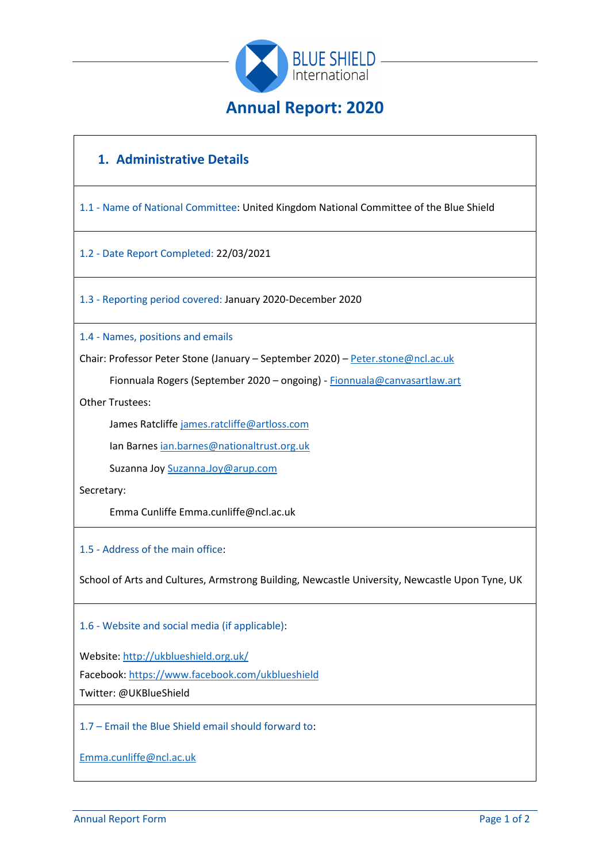

# **1. Administrative Details**

1.1 - Name of National Committee: United Kingdom National Committee of the Blue Shield

1.2 - Date Report Completed: 22/03/2021

1.3 - Reporting period covered: January 2020-December 2020

1.4 - Names, positions and emails

Chair: Professor Peter Stone (January – September 2020) – [Peter.stone@ncl.ac.uk](mailto:Peter.stone@ncl.ac.uk)

Fionnuala Rogers (September 2020 – ongoing) - [Fionnuala@canvasartlaw.art](mailto:Fionnuala@canvasartlaw.art)

Other Trustees:

James Ratcliffe [james.ratcliffe@artloss.com](mailto:james.ratcliffe@artloss.com)

Ian Barne[s ian.barnes@nationaltrust.org.uk](mailto:ian.barnes@nationaltrust.org.uk)

Suzanna Jo[y Suzanna.Joy@arup.com](mailto:Suzanna.Joy@arup.com)

Secretary:

Emma Cunliffe Emma.cunliffe@ncl.ac.uk

1.5 - Address of the main office:

School of Arts and Cultures, Armstrong Building, Newcastle University, Newcastle Upon Tyne, UK

1.6 - Website and social media (if applicable):

Website:<http://ukblueshield.org.uk/>

Facebook:<https://www.facebook.com/ukblueshield>

Twitter: @UKBlueShield

1.7 – Email the Blue Shield email should forward to:

[Emma.cunliffe@ncl.ac.uk](mailto:Emma.cunliffe@ncl.ac.uk)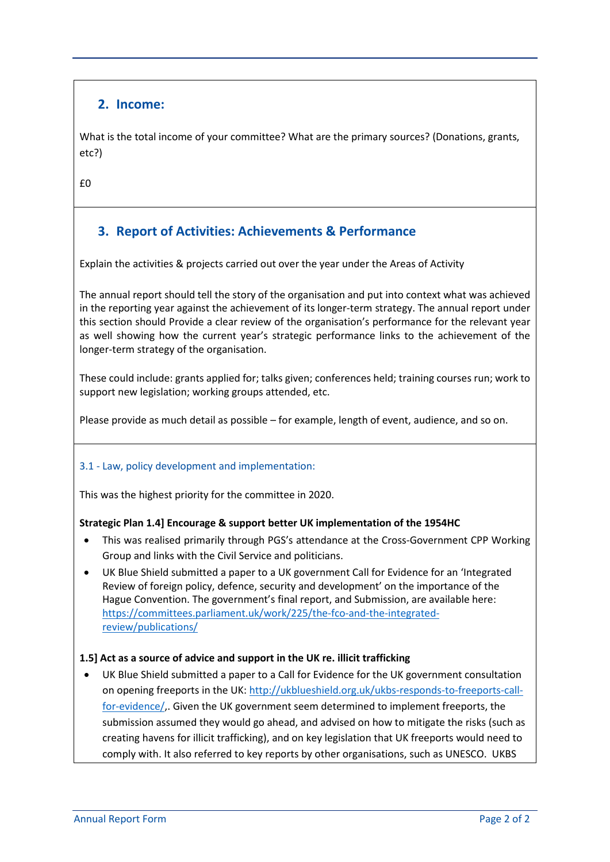## **2. Income:**

What is the total income of your committee? What are the primary sources? (Donations, grants, etc?)

£0

# **3. Report of Activities: Achievements & Performance**

Explain the activities & projects carried out over the year under the Areas of Activity

The annual report should tell the story of the organisation and put into context what was achieved in the reporting year against the achievement of its longer-term strategy. The annual report under this section should Provide a clear review of the organisation's performance for the relevant year as well showing how the current year's strategic performance links to the achievement of the longer-term strategy of the organisation.

These could include: grants applied for; talks given; conferences held; training courses run; work to support new legislation; working groups attended, etc.

Please provide as much detail as possible – for example, length of event, audience, and so on.

#### 3.1 - Law, policy development and implementation:

This was the highest priority for the committee in 2020.

#### **Strategic Plan 1.4] Encourage & support better UK implementation of the 1954HC**

- This was realised primarily through PGS's attendance at the Cross-Government CPP Working Group and links with the Civil Service and politicians.
- UK Blue Shield submitted a paper to a UK government Call for Evidence for an 'Integrated Review of foreign policy, defence, security and development' on the importance of the Hague Convention. The government's final report, and Submission, are available here: [https://committees.parliament.uk/work/225/the-fco-and-the-integrated](https://committees.parliament.uk/work/225/the-fco-and-the-integrated-review/publications/)[review/publications/](https://committees.parliament.uk/work/225/the-fco-and-the-integrated-review/publications/)

#### **1.5] Act as a source of advice and support in the UK re. illicit trafficking**

• UK Blue Shield submitted a paper to a Call for Evidence for the UK government consultation on opening freeports in the UK: [http://ukblueshield.org.uk/ukbs-responds-to-freeports-call](http://ukblueshield.org.uk/ukbs-responds-to-freeports-call-for-evidence/)[for-evidence/,](http://ukblueshield.org.uk/ukbs-responds-to-freeports-call-for-evidence/). Given the UK government seem determined to implement freeports, the submission assumed they would go ahead, and advised on how to mitigate the risks (such as creating havens for illicit trafficking), and on key legislation that UK freeports would need to comply with. It also referred to key reports by other organisations, such as UNESCO. UKBS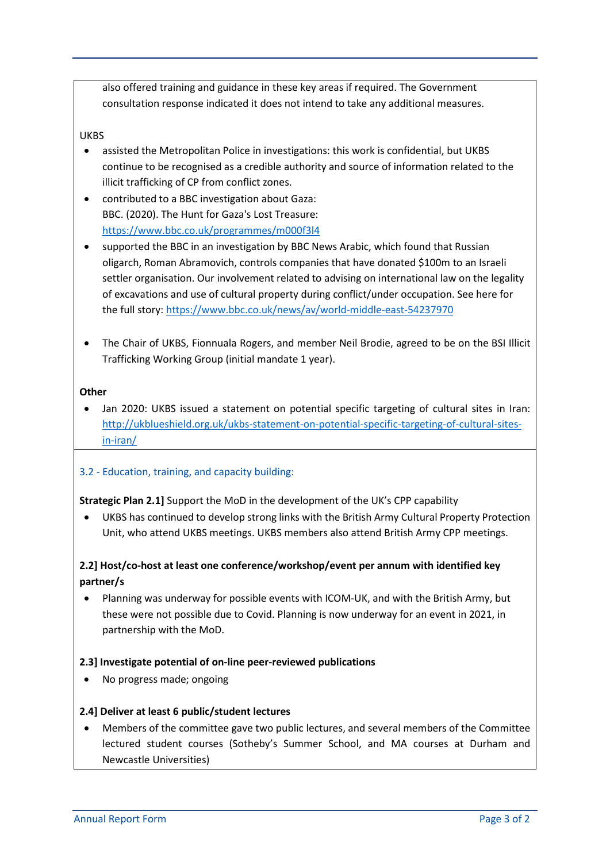also offered training and guidance in these key areas if required. The Government consultation response indicated it does not intend to take any additional measures.

#### UKBS

- assisted the Metropolitan Police in investigations: this work is confidential, but UKBS continue to be recognised as a credible authority and source of information related to the illicit trafficking of CP from conflict zones.
- contributed to a BBC investigation about Gaza: BBC. (2020). The Hunt for Gaza's Lost Treasure: <https://www.bbc.co.uk/programmes/m000f3l4>
- supported the BBC in an investigation by BBC News Arabic, which found that Russian oligarch, Roman Abramovich, controls companies that have donated \$100m to an Israeli settler organisation. Our involvement related to advising on international law on the legality of excavations and use of cultural property during conflict/under occupation. See here for the full story:<https://www.bbc.co.uk/news/av/world-middle-east-54237970>
- The Chair of UKBS, Fionnuala Rogers, and member Neil Brodie, agreed to be on the BSI Illicit Trafficking Working Group (initial mandate 1 year).

#### **Other**

• Jan 2020: UKBS issued a statement on potential specific targeting of cultural sites in Iran: [http://ukblueshield.org.uk/ukbs-statement-on-potential-specific-targeting-of-cultural-sites](http://ukblueshield.org.uk/ukbs-statement-on-potential-specific-targeting-of-cultural-sites-in-iran/)[in-iran/](http://ukblueshield.org.uk/ukbs-statement-on-potential-specific-targeting-of-cultural-sites-in-iran/)

#### 3.2 - Education, training, and capacity building:

#### **Strategic Plan 2.1]** Support the MoD in the development of the UK's CPP capability

• UKBS has continued to develop strong links with the British Army Cultural Property Protection Unit, who attend UKBS meetings. UKBS members also attend British Army CPP meetings.

## **2.2] Host/co-host at least one conference/workshop/event per annum with identified key partner/s**

• Planning was underway for possible events with ICOM-UK, and with the British Army, but these were not possible due to Covid. Planning is now underway for an event in 2021, in partnership with the MoD.

#### **2.3] Investigate potential of on-line peer-reviewed publications**

• No progress made; ongoing

#### **2.4] Deliver at least 6 public/student lectures**

• Members of the committee gave two public lectures, and several members of the Committee lectured student courses (Sotheby's Summer School, and MA courses at Durham and Newcastle Universities)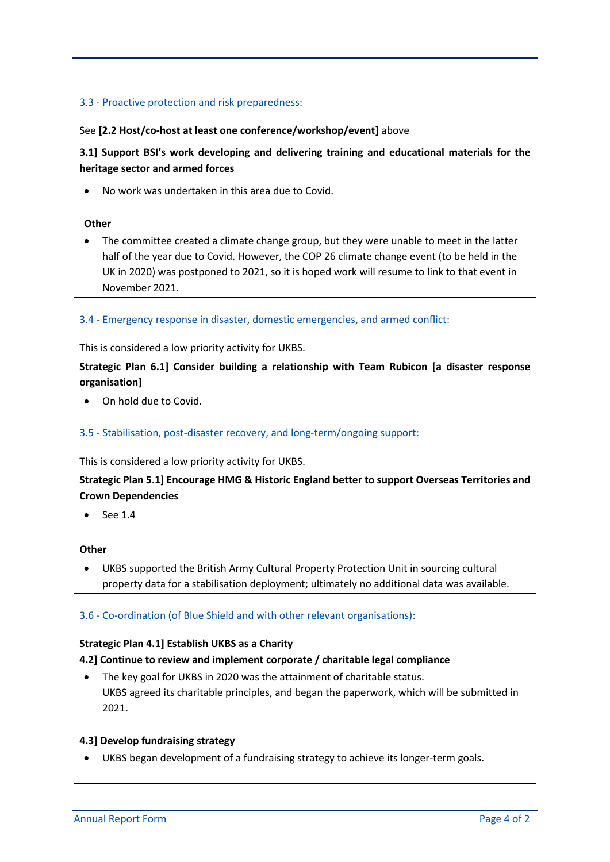## 3.3 - Proactive protection and risk preparedness:

#### See **[2.2 Host/co-host at least one conference/workshop/event]** above

**3.1] Support BSI's work developing and delivering training and educational materials for the heritage sector and armed forces**

• No work was undertaken in this area due to Covid.

#### **Other**

• The committee created a climate change group, but they were unable to meet in the latter half of the year due to Covid. However, the COP 26 climate change event (to be held in the UK in 2020) was postponed to 2021, so it is hoped work will resume to link to that event in November 2021.

#### 3.4 - Emergency response in disaster, domestic emergencies, and armed conflict:

This is considered a low priority activity for UKBS.

**Strategic Plan 6.1] Consider building a relationship with Team Rubicon [a disaster response organisation]**

#### • On hold due to Covid.

#### 3.5 - Stabilisation, post-disaster recovery, and long-term/ongoing support:

This is considered a low priority activity for UKBS.

**Strategic Plan 5.1] Encourage HMG & Historic England better to support Overseas Territories and Crown Dependencies**

 $\bullet$  See 1.4

#### **Other**

• UKBS supported the British Army Cultural Property Protection Unit in sourcing cultural property data for a stabilisation deployment; ultimately no additional data was available.

#### 3.6 - Co-ordination (of Blue Shield and with other relevant organisations):

#### **Strategic Plan 4.1] Establish UKBS as a Charity**

#### **4.2] Continue to review and implement corporate / charitable legal compliance**

• The key goal for UKBS in 2020 was the attainment of charitable status. UKBS agreed its charitable principles, and began the paperwork, which will be submitted in 2021.

#### **4.3] Develop fundraising strategy**

• UKBS began development of a fundraising strategy to achieve its longer-term goals.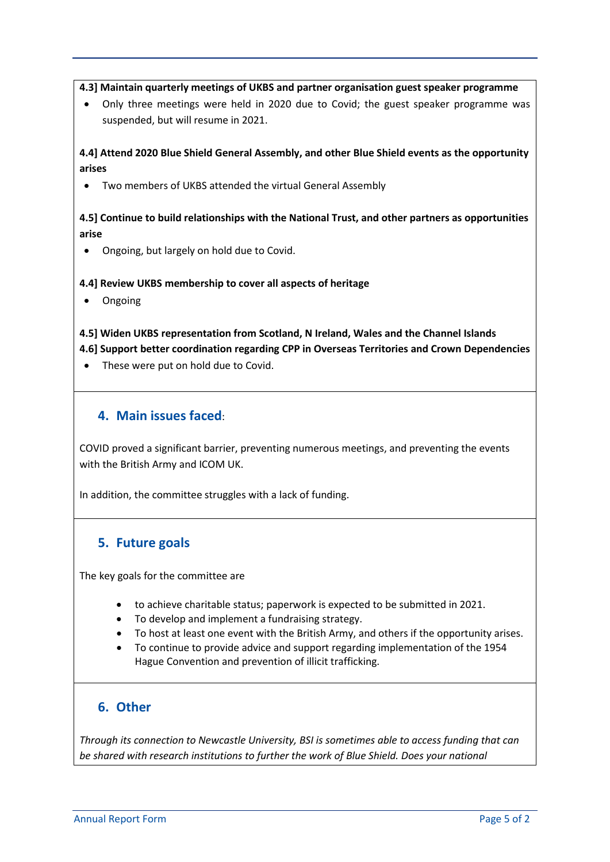#### **4.3] Maintain quarterly meetings of UKBS and partner organisation guest speaker programme**

• Only three meetings were held in 2020 due to Covid; the guest speaker programme was suspended, but will resume in 2021.

## **4.4] Attend 2020 Blue Shield General Assembly, and other Blue Shield events as the opportunity arises**

• Two members of UKBS attended the virtual General Assembly

## **4.5] Continue to build relationships with the National Trust, and other partners as opportunities arise**

• Ongoing, but largely on hold due to Covid.

#### **4.4] Review UKBS membership to cover all aspects of heritage**

• Ongoing

### **4.5] Widen UKBS representation from Scotland, N Ireland, Wales and the Channel Islands 4.6] Support better coordination regarding CPP in Overseas Territories and Crown Dependencies**

• These were put on hold due to Covid.

## **4. Main issues faced**:

COVID proved a significant barrier, preventing numerous meetings, and preventing the events with the British Army and ICOM UK.

In addition, the committee struggles with a lack of funding.

## **5. Future goals**

The key goals for the committee are

- to achieve charitable status; paperwork is expected to be submitted in 2021.
- To develop and implement a fundraising strategy.
- To host at least one event with the British Army, and others if the opportunity arises.
- To continue to provide advice and support regarding implementation of the 1954 Hague Convention and prevention of illicit trafficking.

# **6. Other**

*Through its connection to Newcastle University, BSI is sometimes able to access funding that can be shared with research institutions to further the work of Blue Shield. Does your national*